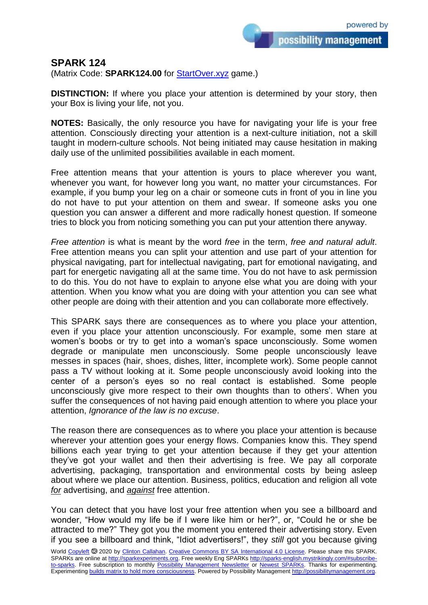## **SPARK 124**

(Matrix Code: **SPARK124.00** for **StartOver.xyz** game.)

**DISTINCTION:** If where you place your attention is determined by your story, then your Box is living your life, not you.

**NOTES:** Basically, the only resource you have for navigating your life is your free attention. Consciously directing your attention is a next-culture initiation, not a skill taught in modern-culture schools. Not being initiated may cause hesitation in making daily use of the unlimited possibilities available in each moment.

Free attention means that your attention is yours to place wherever you want, whenever you want, for however long you want, no matter your circumstances. For example, if you bump your leg on a chair or someone cuts in front of you in line you do not have to put your attention on them and swear. If someone asks you one question you can answer a different and more radically honest question. If someone tries to block you from noticing something you can put your attention there anyway.

*Free attention* is what is meant by the word *free* in the term, *free and natural adult*. Free attention means you can split your attention and use part of your attention for physical navigating, part for intellectual navigating, part for emotional navigating, and part for energetic navigating all at the same time. You do not have to ask permission to do this. You do not have to explain to anyone else what you are doing with your attention. When you know what you are doing with your attention you can see what other people are doing with their attention and you can collaborate more effectively.

This SPARK says there are consequences as to where you place your attention, even if you place your attention unconsciously. For example, some men stare at women's boobs or try to get into a woman's space unconsciously. Some women degrade or manipulate men unconsciously. Some people unconsciously leave messes in spaces (hair, shoes, dishes, litter, incomplete work). Some people cannot pass a TV without looking at it. Some people unconsciously avoid looking into the center of a person's eyes so no real contact is established. Some people unconsciously give more respect to their own thoughts than to others'. When you suffer the consequences of not having paid enough attention to where you place your attention, *Ignorance of the law is no excuse*.

The reason there are consequences as to where you place your attention is because wherever your attention goes your energy flows. Companies know this. They spend billions each year trying to get your attention because if they get your attention they've got your wallet and then their advertising is free. We pay all corporate advertising, packaging, transportation and environmental costs by being asleep about where we place our attention. Business, politics, education and religion all vote *for* advertising, and *against* free attention.

You can detect that you have lost your free attention when you see a billboard and wonder, "How would my life be if I were like him or her?", or, "Could he or she be attracted to me?" They got you the moment you entered their advertising story. Even if you see a billboard and think, "Idiot advertisers!", they *still* got you because giving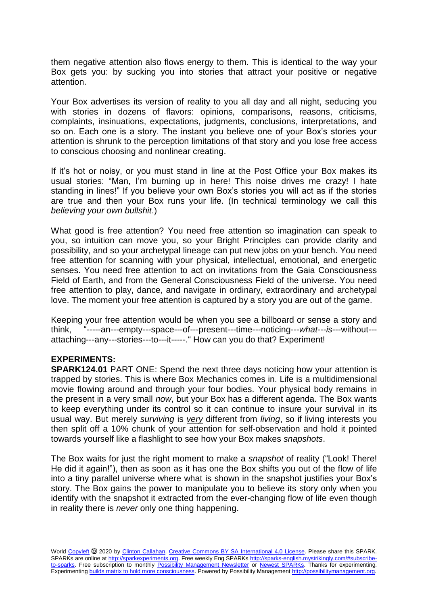them negative attention also flows energy to them. This is identical to the way your Box gets you: by sucking you into stories that attract your positive or negative attention.

Your Box advertises its version of reality to you all day and all night, seducing you with stories in dozens of flavors: opinions, comparisons, reasons, criticisms, complaints, insinuations, expectations, judgments, conclusions, interpretations, and so on. Each one is a story. The instant you believe one of your Box's stories your attention is shrunk to the perception limitations of that story and you lose free access to conscious choosing and nonlinear creating.

If it's hot or noisy, or you must stand in line at the Post Office your Box makes its usual stories: "Man, I'm burning up in here! This noise drives me crazy! I hate standing in lines!" If you believe your own Box's stories you will act as if the stories are true and then your Box runs your life. (In technical terminology we call this *believing your own bullshit*.)

What good is free attention? You need free attention so imagination can speak to you, so intuition can move you, so your Bright Principles can provide clarity and possibility, and so your archetypal lineage can put new jobs on your bench. You need free attention for scanning with your physical, intellectual, emotional, and energetic senses. You need free attention to act on invitations from the Gaia Consciousness Field of Earth, and from the General Consciousness Field of the universe. You need free attention to play, dance, and navigate in ordinary, extraordinary and archetypal love. The moment your free attention is captured by a story you are out of the game.

Keeping your free attention would be when you see a billboard or sense a story and think, "-----an---empty---space---of---present---time---noticing---*what---is*---without-- attaching---any---stories---to---it-----." How can you do that? Experiment!

## **EXPERIMENTS:**

**SPARK124.01** PART ONE: Spend the next three days noticing how your attention is trapped by stories. This is where Box Mechanics comes in. Life is a multidimensional movie flowing around and through your four bodies. Your physical body remains in the present in a very small *now*, but your Box has a different agenda. The Box wants to keep everything under its control so it can continue to insure your survival in its usual way. But merely *surviving* is *very* different from *living*, so if living interests you then split off a 10% chunk of your attention for self-observation and hold it pointed towards yourself like a flashlight to see how your Box makes *snapshots*.

The Box waits for just the right moment to make a *snapshot* of reality ("Look! There! He did it again!"), then as soon as it has one the Box shifts you out of the flow of life into a tiny parallel universe where what is shown in the snapshot justifies your Box's story. The Box gains the power to manipulate you to believe its story only when you identify with the snapshot it extracted from the ever-changing flow of life even though in reality there is *never* only one thing happening.